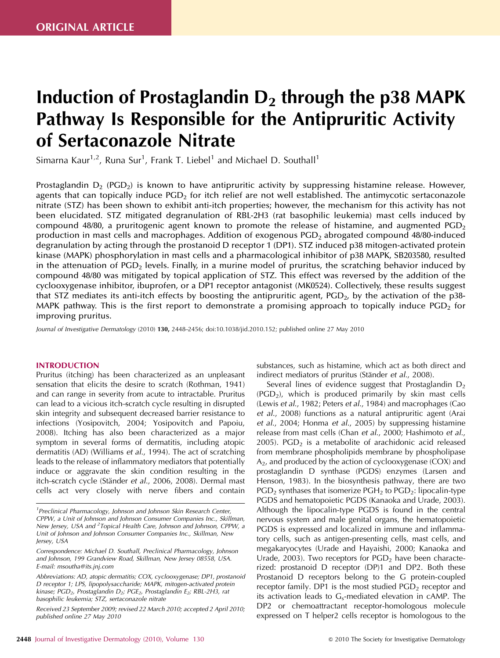# Induction of Prostaglandin  $D_2$  through the p38 MAPK Pathway Is Responsible for the Antipruritic Activity of Sertaconazole Nitrate

Simarna Kaur<sup>1,2</sup>, Runa Sur<sup>1</sup>, Frank T. Liebel<sup>1</sup> and Michael D. Southall<sup>1</sup>

Prostaglandin  $D_2$  (PGD<sub>2</sub>) is known to have antipruritic activity by suppressing histamine release. However, agents that can topically induce  $PGD<sub>2</sub>$  for itch relief are not well established. The antimycotic sertaconazole nitrate (STZ) has been shown to exhibit anti-itch properties; however, the mechanism for this activity has not been elucidated. STZ mitigated degranulation of RBL-2H3 (rat basophilic leukemia) mast cells induced by compound 48/80, a pruritogenic agent known to promote the release of histamine, and augmented  $PGD<sub>2</sub>$ production in mast cells and macrophages. Addition of exogenous  $PGD<sub>2</sub>$  abrogated compound 48/80-induced degranulation by acting through the prostanoid D receptor 1 (DP1). STZ induced p38 mitogen-activated protein kinase (MAPK) phosphorylation in mast cells and a pharmacological inhibitor of p38 MAPK, SB203580, resulted in the attenuation of  $PGD<sub>2</sub>$  levels. Finally, in a murine model of pruritus, the scratching behavior induced by compound 48/80 was mitigated by topical application of STZ. This effect was reversed by the addition of the cyclooxygenase inhibitor, ibuprofen, or a DP1 receptor antagonist (MK0524). Collectively, these results suggest that STZ mediates its anti-itch effects by boosting the antipruritic agent, PGD<sub>2</sub>, by the activation of the p38-MAPK pathway. This is the first report to demonstrate a promising approach to topically induce  $PGD<sub>2</sub>$  for improving pruritus.

*Journal of Investigative Dermatology* (2010) 130, 2448–2456; doi:10.1038/jid.2010.152; published online 27 May 2010

## INTRODUCTION

Pruritus (itching) has been characterized as an unpleasant sensation that elicits the desire to scratch (Rothman, 1941) and can range in severity from acute to intractable. Pruritus can lead to a vicious itch–scratch cycle resulting in disrupted skin integrity and subsequent decreased barrier resistance to infections (Yosipovitch, 2004; Yosipovitch and Papoiu, 2008). Itching has also been characterized as a major symptom in several forms of dermatitis, including atopic dermatitis (AD) (Williams *et al*., 1994). The act of scratching leads to the release of inflammatory mediators that potentially induce or aggravate the skin condition resulting in the itch–scratch cycle (Ständer et al., 2006, 2008). Dermal mast cells act very closely with nerve fibers and contain substances, such as histamine, which act as both direct and indirect mediators of pruritus (Ständer *et al.*, 2008).

Several lines of evidence suggest that Prostaglandin  $D_2$  $(PGD<sub>2</sub>)$ , which is produced primarily by skin mast cells (Lewis *et al*., 1982; Peters *et al*., 1984) and macrophages (Cao *et al*., 2008) functions as a natural antipruritic agent (Arai *et al*., 2004; Honma *et al*., 2005) by suppressing histamine release from mast cells (Chan *et al*., 2000; Hashimoto *et al*., 2005). PGD<sub>2</sub> is a metabolite of arachidonic acid released from membrane phospholipids membrane by phospholipase  $A<sub>2</sub>$ , and produced by the action of cyclooxygenase (COX) and prostaglandin D synthase (PGDS) enzymes (Larsen and Henson, 1983). In the biosynthesis pathway, there are two  $PGD<sub>2</sub>$  synthases that isomerize  $PGH<sub>2</sub>$  to  $PGD<sub>2</sub>$ : lipocalin-type PGDS and hematopoietic PGDS (Kanaoka and Urade, 2003). Although the lipocalin-type PGDS is found in the central nervous system and male genital organs, the hematopoietic PGDS is expressed and localized in immune and inflammatory cells, such as antigen-presenting cells, mast cells, and megakaryocytes (Urade and Hayaishi, 2000; Kanaoka and Urade, 2003). Two receptors for  $PGD<sub>2</sub>$  have been characterized: prostanoid D receptor (DP)1 and DP2. Both these Prostanoid D receptors belong to the G protein-coupled receptor family. DP1 is the most studied  $PGD<sub>2</sub>$  receptor and its activation leads to  $G_{\rm s}$ -mediated elevation in cAMP. The DP2 or chemoattractant receptor-homologous molecule expressed on T helper2 cells receptor is homologous to the

*<sup>1</sup> Preclinical Pharmacology, Johnson and Johnson Skin Research Center, CPPW, a Unit of Johnson and Johnson Consumer Companies Inc., Skillman, New Jersey, USA and <sup>2</sup> Topical Health Care, Johnson and Johnson, CPPW, a Unit of Johnson and Johnson Consumer Companies Inc., Skillman, New Jersey, USA*

*Correspondence: Michael D. Southall, Preclinical Pharmacology, Johnson and Johnson, 199 Grandview Road, Skillman, New Jersey 08558, USA. E-mail: msoutha@its.jnj.com*

*Abbreviations: AD, atopic dermatitis; COX, cyclooxygenase; DP1, prostanoid D receptor 1; LPS, lipopolysaccharide; MAPK, mitogen-activated protein kinase; PGD2, Prostaglandin D2; PGE2, Prostaglandin E2; RBL-2H3, rat basophilic leukemia; STZ, sertaconazole nitrate*

*Received 23 September 2009; revised 22 March 2010; accepted 2 April 2010; published online 27 May 2010*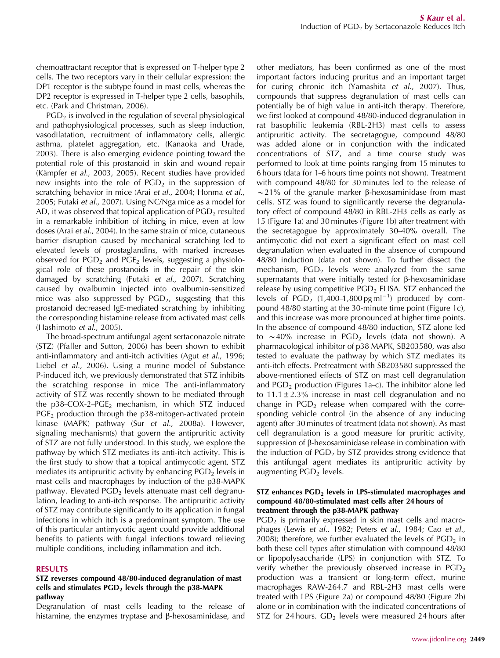chemoattractant receptor that is expressed on T-helper type 2 cells. The two receptors vary in their cellular expression: the DP1 receptor is the subtype found in mast cells, whereas the DP2 receptor is expressed in T-helper type 2 cells, basophils, etc. (Park and Christman, 2006).

 $PGD<sub>2</sub>$  is involved in the regulation of several physiological and pathophysiological processes, such as sleep induction, vasodilatation, recruitment of inflammatory cells, allergic asthma, platelet aggregation, etc. (Kanaoka and Urade, 2003). There is also emerging evidence pointing toward the potential role of this prostanoid in skin and wound repair (Kämpfer et al., 2003, 2005). Recent studies have provided new insights into the role of  $PGD<sub>2</sub>$  in the suppression of scratching behavior in mice (Arai *et al*., 2004; Honma *et al*., 2005; Futaki *et al*., 2007). Using NC/Nga mice as a model for AD, it was observed that topical application of  $PGD<sub>2</sub>$  resulted in a remarkable inhibition of itching in mice, even at low doses (Arai *et al*., 2004). In the same strain of mice, cutaneous barrier disruption caused by mechanical scratching led to elevated levels of prostaglandins, with marked increases observed for  $PGD<sub>2</sub>$  and  $PGE<sub>2</sub>$  levels, suggesting a physiological role of these prostanoids in the repair of the skin damaged by scratching (Futaki *et al*., 2007). Scratching caused by ovalbumin injected into ovalbumin-sensitized mice was also suppressed by  $PGD<sub>2</sub>$ , suggesting that this prostanoid decreased IgE-mediated scratching by inhibiting the corresponding histamine release from activated mast cells (Hashimoto *et al*., 2005).

The broad-spectrum antifungal agent sertaconazole nitrate (STZ) (Pfaller and Sutton, 2006) has been shown to exhibit anti-inflammatory and anti-itch activities (Agut *et al*., 1996; Liebel *et al*., 2006). Using a murine model of Substance P-induced itch, we previously demonstrated that STZ inhibits the scratching response in mice The anti-inflammatory activity of STZ was recently shown to be mediated through the  $p38$ -COX-2-PGE<sub>2</sub> mechanism, in which STZ induced  $PGE<sub>2</sub>$  production through the p38-mitogen-activated protein kinase (MAPK) pathway (Sur *et al*., 2008a). However, signaling mechanism(s) that govern the antipruritic activity of STZ are not fully understood. In this study, we explore the pathway by which STZ mediates its anti-itch activity. This is the first study to show that a topical antimycotic agent, STZ mediates its antipruritic activity by enhancing  $PGD<sub>2</sub>$  levels in mast cells and macrophages by induction of the p38-MAPK pathway. Elevated  $PGD<sub>2</sub>$  levels attenuate mast cell degranulation, leading to anti-itch response. The antipruritic activity of STZ may contribute significantly to its application in fungal infections in which itch is a predominant symptom. The use of this particular antimycotic agent could provide additional benefits to patients with fungal infections toward relieving multiple conditions, including inflammation and itch.

## RESULTS

# STZ reverses compound 48/80-induced degranulation of mast cells and stimulates  $PGD<sub>2</sub>$  levels through the p38-MAPK pathway

Degranulation of mast cells leading to the release of histamine, the enzymes tryptase and  $\beta$ -hexosaminidase, and other mediators, has been confirmed as one of the most important factors inducing pruritus and an important target for curing chronic itch (Yamashita *et al*., 2007). Thus, compounds that suppress degranulation of mast cells can potentially be of high value in anti-itch therapy. Therefore, we first looked at compound 48/80-induced degranulation in rat basophilic leukemia (RBL-2H3) mast cells to assess antipruritic activity. The secretagogue, compound 48/80 was added alone or in conjunction with the indicated concentrations of STZ, and a time course study was performed to look at time points ranging from 15 minutes to 6 hours (data for 1–6 hours time points not shown). Treatment with compound 48/80 for 30 minutes led to the release of  $\sim$ 21% of the granule marker β-hexosaminidase from mast cells. STZ was found to significantly reverse the degranulatory effect of compound 48/80 in RBL-2H3 cells as early as 15 (Figure 1a) and 30 minutes (Figure 1b) after treatment with the secretagogue by approximately 30–40% overall. The antimycotic did not exert a significant effect on mast cell degranulation when evaluated in the absence of compound 48/80 induction (data not shown). To further dissect the mechanism,  $PGD<sub>2</sub>$  levels were analyzed from the same supernatants that were initially tested for  $\beta$ -hexosaminidase release by using competitive  $PGD<sub>2</sub>$  ELISA. STZ enhanced the levels of  $PGD_2$  (1,400–1,800 pg ml<sup>-1</sup>) produced by compound 48/80 starting at the 30-minute time point (Figure 1c), and this increase was more pronounced at higher time points. In the absence of compound 48/80 induction, STZ alone led to  $\sim$  40% increase in PGD<sub>2</sub> levels (data not shown). A pharmacological inhibitor of p38 MAPK, SB203580, was also tested to evaluate the pathway by which STZ mediates its anti-itch effects. Pretreatment with SB203580 suppressed the above-mentioned effects of STZ on mast cell degranulation and  $PGD<sub>2</sub>$  production (Figures 1a–c). The inhibitor alone led to  $11.1 \pm 2.3\%$  increase in mast cell degranulation and no change in  $PGD<sub>2</sub>$  release when compared with the corresponding vehicle control (in the absence of any inducing agent) after 30 minutes of treatment (data not shown). As mast cell degranulation is a good measure for pruritic activity, suppression of  $\beta$ -hexosaminidase release in combination with the induction of  $PGD<sub>2</sub>$  by STZ provides strong evidence that this antifungal agent mediates its antipruritic activity by augmenting  $PGD<sub>2</sub>$  levels.

# $STZ$  enhances  $PGD<sub>2</sub>$  levels in LPS-stimulated macrophages and compound 48/80-stimulated mast cells after 24 hours of treatment through the p38-MAPK pathway

 $PGD<sub>2</sub>$  is primarily expressed in skin mast cells and macrophages (Lewis *et al*., 1982; Peters *et al*., 1984; Cao *et al*., 2008); therefore, we further evaluated the levels of  $PGD<sub>2</sub>$  in both these cell types after stimulation with compound 48/80 or lipopolysaccharide (LPS) in conjunction with STZ. To verify whether the previously observed increase in  $PGD<sub>2</sub>$ production was a transient or long-term effect, murine macrophages RAW-264.7 and RBL-2H3 mast cells were treated with LPS (Figure 2a) or compound 48/80 (Figure 2b) alone or in combination with the indicated concentrations of STZ for 24 hours.  $GD<sub>2</sub>$  levels were measured 24 hours after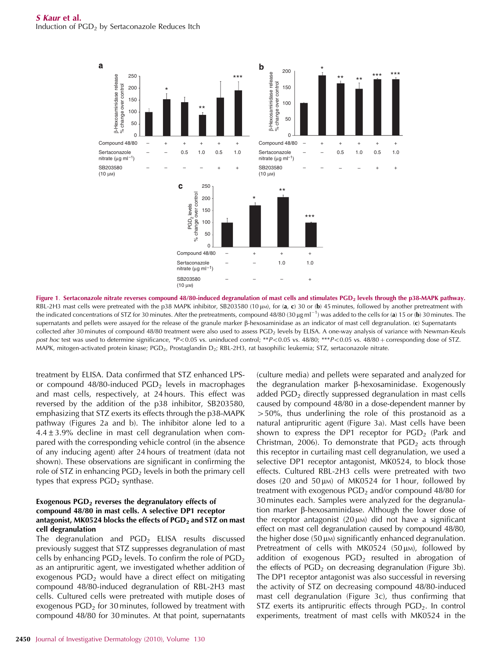

Figure 1. Sertaconazole nitrate reverses compound 48/80-induced degranulation of mast cells and stimulates PGD<sub>2</sub> levels through the p38-MAPK pathway. RBL-2H3 mast cells were pretreated with the p38 MAPK inhibitor, SB203580 (10  $\mu$ m), for (a, c) 30 or (b) 45 minutes, followed by another pretreatment with the indicated concentrations of STZ for 30 minutes. After the pretreatments, compound 48/80 (30  $\mu$ g ml<sup>-1</sup>) was added to the cells for (a) 15 or (b) 30 minutes. The supernatants and pellets were assayed for the release of the granule marker  $\beta$ -hexosaminidase as an indicator of mast cell degranulation. (c) Supernatants collected after 30 minutes of compound 48/80 treatment were also used to assess PGD<sub>2</sub> levels by ELISA. A one-way analysis of variance with Newman–Keuls *post hoc* test was used to determine significance, \**P*<0.05 vs. uninduced control; \*\**P*<0.05 vs. 48/80; \*\*\**P*<0.05 vs. 48/80 + corresponding dose of STZ. MAPK, mitogen-activated protein kinase; PGD<sub>2</sub>, Prostaglandin D<sub>2</sub>; RBL-2H3, rat basophilic leukemia; STZ, sertaconazole nitrate.

treatment by ELISA. Data confirmed that STZ enhanced LPSor compound 48/80-induced  $PGD<sub>2</sub>$  levels in macrophages and mast cells, respectively, at 24 hours. This effect was reversed by the addition of the p38 inhibitor, SB203580, emphasizing that STZ exerts its effects through the p38-MAPK pathway (Figures 2a and b). The inhibitor alone led to a  $4.4 \pm 3.9\%$  decline in mast cell degranulation when compared with the corresponding vehicle control (in the absence of any inducing agent) after 24 hours of treatment (data not shown). These observations are significant in confirming the role of STZ in enhancing  $PGD<sub>2</sub>$  levels in both the primary cell types that express  $PGD<sub>2</sub>$  synthase.

# Exogenous  $PGD<sub>2</sub>$  reverses the degranulatory effects of compound 48/80 in mast cells. A selective DP1 receptor antagonist, MK0524 blocks the effects of  $PGD<sub>2</sub>$  and STZ on mast cell degranulation

The degranulation and  $PGD<sub>2</sub>$  ELISA results discussed previously suggest that STZ suppresses degranulation of mast cells by enhancing  $PGD<sub>2</sub>$  levels. To confirm the role of  $PGD<sub>2</sub>$ as an antipruritic agent, we investigated whether addition of exogenous  $PGD<sub>2</sub>$  would have a direct effect on mitigating compound 48/80-induced degranulation of RBL-2H3 mast cells. Cultured cells were pretreated with mutiple doses of exogenous  $PGD<sub>2</sub>$  for 30 minutes, followed by treatment with compound 48/80 for 30 minutes. At that point, supernatants

added  $PGD<sub>2</sub>$  directly suppressed degranulation in mast cells caused by compound 48/80 in a dose-dependent manner by  $>50\%$ , thus underlining the role of this prostanoid as a natural antipruritic agent (Figure 3a). Mast cells have been shown to express the DP1 receptor for  $PGD<sub>2</sub>$  (Park and Christman, 2006). To demonstrate that  $PGD<sub>2</sub>$  acts through this receptor in curtailing mast cell degranulation, we used a selective DP1 receptor antagonist, MK0524, to block those effects. Cultured RBL-2H3 cells were pretreated with two doses (20 and 50  $\mu$ M) of MK0524 for 1 hour, followed by treatment with exogenous  $PGD<sub>2</sub>$  and/or compound 48/80 for 30 minutes each. Samples were analyzed for the degranulation marker  $\beta$ -hexosaminidase. Although the lower dose of the receptor antagonist  $(20 \mu)$  did not have a significant effect on mast cell degranulation caused by compound 48/80, the higher dose  $(50 \mu)$  significantly enhanced degranulation. Pretreatment of cells with MK0524 (50  $\mu$ M), followed by addition of exogenous  $PGD<sub>2</sub>$  resulted in abrogation of the effects of  $PGD<sub>2</sub>$  on decreasing degranulation (Figure 3b). The DP1 receptor antagonist was also successful in reversing the activity of STZ on decreasing compound 48/80-induced mast cell degranulation (Figure 3c), thus confirming that STZ exerts its antipruritic effects through  $PGD<sub>2</sub>$ . In control experiments, treatment of mast cells with MK0524 in the

(culture media) and pellets were separated and analyzed for the degranulation marker  $\beta$ -hexosaminidase. Exogenously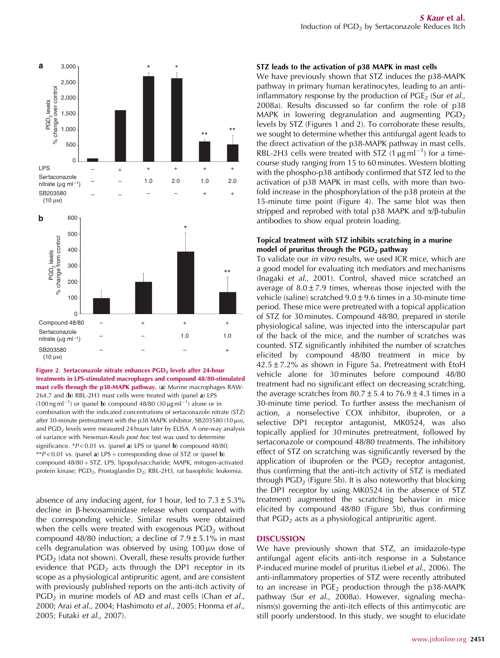

Figure 2. Sertaconazole nitrate enhances PGD<sub>2</sub> levels after 24-hour treatments in LPS-stimulated macrophages and compound 48/80-stimulated mast cells through the p38-MAPK pathway. (a) Murine macrophages RAW-264.7 and (b) RBL-2H3 mast cells were treated with (panel a) LPS (100 ng ml<sup>-1</sup>) or (panel **b**) compound 48/80 (30 µg ml<sup>-1</sup>) alone or in combination with the indicated concentrations of sertaconazole nitrate (STZ) after 30-minute pretreatment with the p38 MAPK inhibitor, SB203580 (10 µm), and PGD<sub>2</sub> levels were measured 24 hours later by ELISA. A one-way analysis of variance with Newman–Keuls *post hoc* test was used to determine significance. \**P*<0.01 vs. (panel **a**) LPS or (panel **b**) compound 48/80; \*\* $P$ <0.01 vs. (panel a) LPS + corresponding dose of STZ or (panel **b**) compound 48/80 + STZ. LPS, lipopolysaccharide; MAPK, mitogen-activated protein kinase; PGD<sub>2</sub>, Prostaglandin D<sub>2</sub>; RBL-2H3, rat basophilic leukemia.

absence of any inducing agent, for 1 hour, led to  $7.3 \pm 5.3\%$ decline in  $\beta$ -hexosaminidase release when compared with the corresponding vehicle. Similar results were obtained when the cells were treated with exogenous  $PGD<sub>2</sub>$  without compound 48/80 induction; a decline of  $7.9 \pm 5.1\%$  in mast cells degranulation was observed by using  $100 \mu$ M dose of  $PGD<sub>2</sub>$  (data not shown). Overall, these results provide further evidence that  $PGD<sub>2</sub>$  acts through the DP1 receptor in its scope as a physiological antipruritic agent, and are consistent with previously published reports on the anti-itch activity of PGD<sup>2</sup> in murine models of AD and mast cells (Chan *et al*., 2000; Arai *et al*., 2004; Hashimoto *et al*., 2005; Honma *et al*., 2005; Futaki *et al*., 2007).

## STZ leads to the activation of p38 MAPK in mast cells

We have previously shown that STZ induces the p38-MAPK pathway in primary human keratinocytes, leading to an antiinflammatory response by the production of PGE<sub>2</sub> (Sur *et al.*, 2008a). Results discussed so far confirm the role of p38 MAPK in lowering degranulation and augmenting  $PGD<sub>2</sub>$ levels by STZ (Figures 1 and 2). To corroborate these results, we sought to determine whether this antifungal agent leads to the direct activation of the p38-MAPK pathway in mast cells. RBL-2H3 cells were treated with STZ  $(1 \mu g m)^{-1}$  for a timecourse study ranging from 15 to 60 minutes. Western blotting with the phospho-p38 antibody confirmed that STZ led to the activation of p38 MAPK in mast cells, with more than twofold increase in the phosphorylation of the p38 protein at the 15-minute time point (Figure 4). The same blot was then stripped and reprobed with total p38 MAPK and  $\alpha/\beta$ -tubulin antibodies to show equal protein loading.

# Topical treatment with STZ inhibits scratching in a murine model of pruritus through the  $PGD<sub>2</sub>$  pathway

To validate our *in vitro* results, we used ICR mice, which are a good model for evaluating itch mediators and mechanisms (Inagaki *et al*., 2001). Control, shaved mice scratched an average of  $8.0 \pm 7.9$  times, whereas those injected with the vehicle (saline) scratched  $9.0 \pm 9.6$  times in a 30-minute time period. These mice were pretreated with a topical application of STZ for 30 minutes. Compound 48/80, prepared in sterile physiological saline, was injected into the interscapular part of the back of the mice, and the number of scratches was counted. STZ significantly inhibited the number of scratches elicited by compound 48/80 treatment in mice by  $42.5 \pm 7.2$ % as shown in Figure 5a. Pretreatment with EtoH vehicle alone for 30 minutes before compound 48/80 treatment had no significant effect on decreasing scratching, the average scratches from  $80.7 \pm 5.4$  to  $76.9 \pm 4.3$  times in a 30-minute time period. To further assess the mechanism of action, a nonselective COX inhibitor, ibuprofen, or a selective DP1 receptor antagonist, MK0524, was also topically applied for 30 minutes pretreatment, followed by sertaconazole or compound 48/80 treatments. The inhibitory effect of STZ on scratching was significantly reversed by the application of ibuprofen or the  $PGD<sub>2</sub>$  receptor antagonist, thus confirming that the anti-itch activity of STZ is mediated through  $PGD<sub>2</sub>$  (Figure 5b). It is also noteworthy that blocking the DP1 receptor by using MK0524 (in the absence of STZ treatment) augmented the scratching behavior in mice elicited by compound 48/80 (Figure 5b), thus confirming that  $PGD<sub>2</sub>$  acts as a physiological antipruritic agent.

# **DISCUSSION**

We have previously shown that STZ, an imidazole-type antifungal agent elicits anti-itch response in a Substance P-induced murine model of pruritus (Liebel *et al*., 2006). The anti-inflammatory properties of STZ were recently attributed to an increase in  $PGE<sub>2</sub>$  production through the p38-MAPK pathway (Sur *et al*., 2008a). However, signaling mechanism(s) governing the anti-itch effects of this antimycotic are still poorly understood. In this study, we sought to elucidate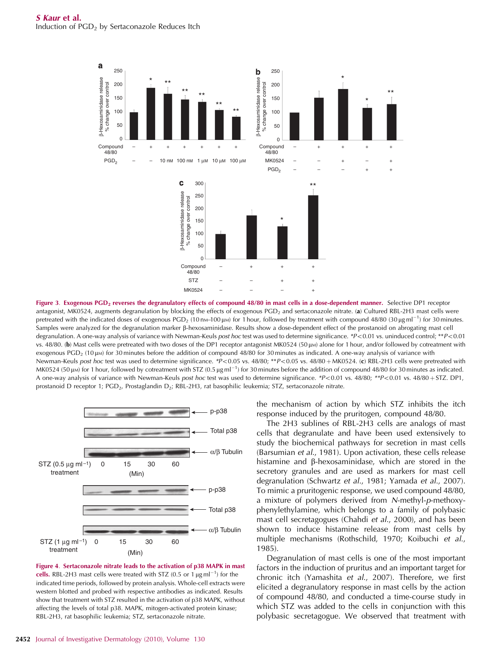

Figure 3. Exogenous PGD<sub>2</sub> reverses the degranulatory effects of compound 48/80 in mast cells in a dose-dependent manner. Selective DP1 receptor antagonist, MK0524, augments degranulation by blocking the effects of exogenous PGD<sub>2</sub> and sertaconazole nitrate. (a) Cultured RBL-2H3 mast cells were pretreated with the indicated doses of exogenous PGD<sub>2</sub> (10 n<sub>M</sub>–100 µ<sub>M</sub>) for 1 hour, followed by treatment with compound 48/80 (30 µg ml<sup>-1</sup>) for 30 minutes. Samples were analyzed for the degranulation marker  $\beta$ -hexosaminidase. Results show a dose-dependent effect of the prostanoid on abrogating mast cell degranulation. A one-way analysis of variance with Newman–Keuls *post hoc* test was used to determine significance. *\*P*<0.01 vs. uninduced control; \*\**P*<0.01 vs. 48/80. (b) Mast cells were pretreated with two doses of the DP1 receptor antagonist MK0524 (50 µM) alone for 1 hour, and/or followed by cotreatment with exogenous PGD<sub>2</sub> (10  $\mu$ M) for 30 minutes before the addition of compound 48/80 for 30 minutes as indicated. A one-way analysis of variance with Newman–Keuls post hoc test was used to determine significance. \*P<0.05 vs. 48/80; \*\*P<0.05 vs. 48/80 + MK0524. (c) RBL-2H3 cells were pretreated with MK0524 (50  $\mu$ w) for 1 hour, followed by cotreatment with STZ (0.5  $\mu$ g ml<sup>-1</sup>) for 30 minutes before the addition of compound 48/80 for 30 minutes as indicated. A one-way analysis of variance with Newman–Keuls *post hoc* test was used to determine significance. *\*P*<0.01 vs. 48/80; *\*\*P*<0.01 vs. 48/80 + STZ. DP1, prostanoid D receptor 1; PGD<sub>2</sub>, Prostaglandin D<sub>2</sub>; RBL-2H3, rat basophilic leukemia; STZ, sertaconazole nitrate.



Figure 4. Sertaconazole nitrate leads to the activation of p38 MAPK in mast cells. RBL-2H3 mast cells were treated with STZ (0.5 or  $1 \mu g$  ml<sup>-1</sup>) for the indicated time periods, followed by protein analysis. Whole-cell extracts were western blotted and probed with respective antibodies as indicated. Results show that treatment with STZ resulted in the activation of p38 MAPK, without affecting the levels of total p38. MAPK, mitogen-activated protein kinase; RBL-2H3, rat basophilic leukemia; STZ, sertaconazole nitrate.

the mechanism of action by which STZ inhibits the itch response induced by the pruritogen, compound 48/80.

The 2H3 sublines of RBL-2H3 cells are analogs of mast cells that degranulate and have been used extensively to study the biochemical pathways for secretion in mast cells (Barsumian *et al*., 1981). Upon activation, these cells release histamine and  $\beta$ -hexosaminidase, which are stored in the secretory granules and are used as markers for mast cell degranulation (Schwartz *et al*., 1981; Yamada *et al*., 2007). To mimic a pruritogenic response, we used compound 48/80, a mixture of polymers derived from *N*-methyl-*p*-methoxyphenylethylamine, which belongs to a family of polybasic mast cell secretagogues (Chahdi *et al*., 2000), and has been shown to induce histamine release from mast cells by multiple mechanisms (Rothschild, 1970; Koibuchi *et al*., 1985).

Degranulation of mast cells is one of the most important factors in the induction of pruritus and an important target for chronic itch (Yamashita *et al*., 2007). Therefore, we first elicited a degranulatory response in mast cells by the action of compound 48/80, and conducted a time-course study in which STZ was added to the cells in conjunction with this polybasic secretagogue. We observed that treatment with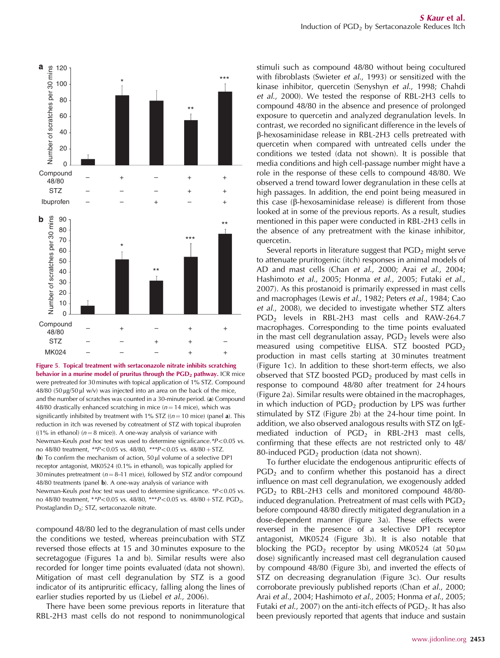

Figure 5. Topical treatment with sertaconazole nitrate inhibits scratching behavior in a murine model of pruritus through the  $PGD<sub>2</sub>$  pathway. ICR mice were pretreated for 30 minutes with topical application of 1% STZ. Compound  $48/80$  (50 µg/50 µl w/v) was injected into an area on the back of the mice, and the number of scratches was counted in a 30-minute period. (a) Compound 48/80 drastically enhanced scratching in mice  $(n = 14$  mice), which was significantly inhibited by treatment with 1% STZ ( $(n = 10$  mice) (panel a). This reduction in itch was reversed by cotreatment of STZ with topical ibuprofen ( $(1\%$  in ethanol) ( $n = 8$  mice)). A one-way analysis of variance with Newman–Keuls *post hoc* test was used to determine significance. \*P<0.05 vs. no 48/80 treatment,  $*P<0.05$  vs. 48/80,  $**P<0.05$  vs. 48/80 + STZ. (b) To confirm the mechanism of action,  $50 \mu l$  volume of a selective DP1 receptor antagonist, MK0524 (0.1% in ethanol), was topically applied for 30 minutes pretreatment ( $n = 8-11$  mice), followed by STZ and/or compound 48/80 treatments (panel b). A one-way analysis of variance with Newman–Keuls *post hoc* test was used to determine significance. *\*P*<0.05 vs. no 48/80 treatment, \*\**P*<0.05 vs. 48/80, \*\*\**P*<0.05 vs. 48/80 + STZ. PGD<sub>2</sub>, Prostaglandin D<sub>2</sub>; STZ, sertaconazole nitrate.

compound 48/80 led to the degranulation of mast cells under the conditions we tested, whereas preincubation with STZ reversed those effects at 15 and 30 minutes exposure to the secretagogue (Figures 1a and b). Similar results were also recorded for longer time points evaluated (data not shown). Mitigation of mast cell degranulation by STZ is a good indicator of its antipruritic efficacy, falling along the lines of earlier studies reported by us (Liebel *et al*., 2006).

There have been some previous reports in literature that RBL-2H3 mast cells do not respond to nonimmunological

stimuli such as compound 48/80 without being cocultured with fibroblasts (Swieter *et al*., 1993) or sensitized with the kinase inhibitor, quercetin (Senyshyn *et al*., 1998; Chahdi *et al*., 2000). We tested the response of RBL-2H3 cells to compound 48/80 in the absence and presence of prolonged exposure to quercetin and analyzed degranulation levels. In contrast, we recorded no significant difference in the levels of b-hexosaminidase release in RBL-2H3 cells pretreated with quercetin when compared with untreated cells under the conditions we tested (data not shown). It is possible that media conditions and high cell-passage number might have a role in the response of these cells to compound 48/80. We observed a trend toward lower degranulation in these cells at high passages. In addition, the end point being measured in this case ( $\beta$ -hexosaminidase release) is different from those looked at in some of the previous reports. As a result, studies mentioned in this paper were conducted in RBL-2H3 cells in the absence of any pretreatment with the kinase inhibitor, quercetin.

Several reports in literature suggest that  $PGD<sub>2</sub>$  might serve to attenuate pruritogenic (itch) responses in animal models of AD and mast cells (Chan *et al*., 2000; Arai *et al*., 2004; Hashimoto *et al*., 2005; Honma *et al*., 2005; Futaki *et al*., 2007). As this prostanoid is primarily expressed in mast cells and macrophages (Lewis *et al*., 1982; Peters *et al*., 1984; Cao *et al*., 2008), we decided to investigate whether STZ alters PGD<sub>2</sub> levels in RBL-2H3 mast cells and RAW-264.7 macrophages. Corresponding to the time points evaluated in the mast cell degranulation assay,  $PGD<sub>2</sub>$  levels were also measured using competitive ELISA. STZ boosted  $PGD<sub>2</sub>$ production in mast cells starting at 30 minutes treatment (Figure 1c). In addition to these short-term effects, we also observed that STZ boosted  $PGD<sub>2</sub>$  produced by mast cells in response to compound 48/80 after treatment for 24 hours (Figure 2a). Similar results were obtained in the macrophages, in which induction of  $PGD<sub>2</sub>$  production by LPS was further stimulated by STZ (Figure 2b) at the 24-hour time point. In addition, we also observed analogous results with STZ on IgEmediated induction of  $PGD<sub>2</sub>$  in RBL-2H3 mast cells, confirming that these effects are not restricted only to 48/ 80-induced  $PGD<sub>2</sub>$  production (data not shown).

To further elucidate the endogenous antipruritic effects of  $PGD<sub>2</sub>$  and to confirm whether this postanoid has a direct influence on mast cell degranulation, we exogenously added  $PGD<sub>2</sub>$  to RBL-2H3 cells and monitored compound 48/80induced degranulation. Pretreatment of mast cells with  $PGD<sub>2</sub>$ before compound 48/80 directly mitigated degranulation in a dose-dependent manner (Figure 3a). These effects were reversed in the presence of a selective DP1 receptor antagonist, MK0524 (Figure 3b). It is also notable that blocking the PGD<sub>2</sub> receptor by using MK0524 (at 50  $\mu$ M dose) significantly increased mast cell degranulation caused by compound 48/80 (Figure 3b), and inverted the effects of STZ on decreasing degranulation (Figure 3c). Our results corroborate previously published reports (Chan *et al*., 2000; Arai *et al*., 2004; Hashimoto *et al*., 2005; Honma *et al*., 2005; Futaki *et al.*, 2007) on the anti-itch effects of PGD<sub>2</sub>. It has also been previously reported that agents that induce and sustain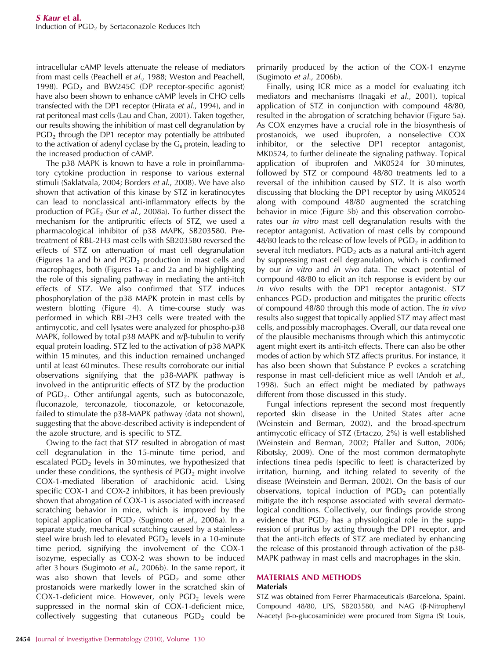intracellular cAMP levels attenuate the release of mediators from mast cells (Peachell *et al*., 1988; Weston and Peachell, 1998). PGD<sub>2</sub> and BW245C (DP receptor-specific agonist) have also been shown to enhance cAMP levels in CHO cells transfected with the DP1 receptor (Hirata *et al*., 1994), and in rat peritoneal mast cells (Lau and Chan, 2001). Taken together, our results showing the inhibition of mast cell degranulation by  $PGD<sub>2</sub>$  through the DP1 receptor may potentially be attributed to the activation of adenyl cyclase by the  $G_s$  protein, leading to the increased production of cAMP.

The p38 MAPK is known to have a role in proinflammatory cytokine production in response to various external stimuli (Saklatvala, 2004; Borders *et al*., 2008). We have also shown that activation of this kinase by STZ in keratinocytes can lead to nonclassical anti-inflammatory effects by the production of PGE<sub>2</sub> (Sur *et al.*, 2008a). To further dissect the mechanism for the antipruritic effects of STZ, we used a pharmacological inhibitor of p38 MAPK, SB203580. Pretreatment of RBL-2H3 mast cells with SB203580 reversed the effects of STZ on attenuation of mast cell degranulation (Figures 1a and b) and  $PGD<sub>2</sub>$  production in mast cells and macrophages, both (Figures 1a–c and 2a and b) highlighting the role of this signaling pathway in mediating the anti-itch effects of STZ. We also confirmed that STZ induces phosphorylation of the p38 MAPK protein in mast cells by western blotting (Figure 4). A time-course study was performed in which RBL-2H3 cells were treated with the antimycotic, and cell lysates were analyzed for phospho-p38 MAPK, followed by total p38 MAPK and  $\alpha/\beta$ -tubulin to verify equal protein loading. STZ led to the activation of p38 MAPK within 15 minutes, and this induction remained unchanged until at least 60 minutes. These results corroborate our initial observations signifying that the p38-MAPK pathway is involved in the antipruritic effects of STZ by the production of  $PGD<sub>2</sub>$ . Other antifungal agents, such as butoconazole, fluconazole, terconazole, tioconazole, or ketoconazole, failed to stimulate the p38-MAPK pathway (data not shown), suggesting that the above-described activity is independent of the azole structure, and is specific to STZ.

Owing to the fact that STZ resulted in abrogation of mast cell degranulation in the 15-minute time period, and escalated  $PGD<sub>2</sub>$  levels in 30 minutes, we hypothesized that under these conditions, the synthesis of  $PGD<sub>2</sub>$  might involve COX-1-mediated liberation of arachidonic acid. Using specific COX-1 and COX-2 inhibitors, it has been previously shown that abrogation of COX-1 is associated with increased scratching behavior in mice, which is improved by the topical application of PGD<sub>2</sub> (Sugimoto *et al.*, 2006a). In a separate study, mechanical scratching caused by a stainlesssteel wire brush led to elevated  $PGD<sub>2</sub>$  levels in a 10-minute time period, signifying the involvement of the COX-1 isozyme, especially as COX-2 was shown to be induced after 3 hours (Sugimoto *et al*., 2006b). In the same report, it was also shown that levels of  $PGD<sub>2</sub>$  and some other prostanoids were markedly lower in the scratched skin of COX-1-deficient mice. However, only  $PGD<sub>2</sub>$  levels were suppressed in the normal skin of COX-1-deficient mice, collectively suggesting that cutaneous  $PGD<sub>2</sub>$  could be

primarily produced by the action of the COX-1 enzyme (Sugimoto *et al*., 2006b).

Finally, using ICR mice as a model for evaluating itch mediators and mechanisms (Inagaki *et al*., 2001), topical application of STZ in conjunction with compound 48/80, resulted in the abrogation of scratching behavior (Figure 5a). As COX enzymes have a crucial role in the biosynthesis of prostanoids, we used ibuprofen, a nonselective COX inhibitor, or the selective DP1 receptor antagonist, MK0524, to further delineate the signaling pathway. Topical application of ibuprofen and MK0524 for 30 minutes, followed by STZ or compound 48/80 treatments led to a reversal of the inhibition caused by STZ. It is also worth discussing that blocking the DP1 receptor by using MK0524 along with compound 48/80 augmented the scratching behavior in mice (Figure 5b) and this observation corroborates our *in vitro* mast cell degranulation results with the receptor antagonist. Activation of mast cells by compound 48/80 leads to the release of low levels of  $PGD<sub>2</sub>$  in addition to several itch mediators.  $PGD<sub>2</sub>$  acts as a natural anti-itch agent by suppressing mast cell degranulation, which is confirmed by our *in vitro* and *in vivo* data. The exact potential of compound 48/80 to elicit an itch response is evident by our *in vivo* results with the DP1 receptor antagonist. STZ enhances  $PGD<sub>2</sub>$  production and mitigates the pruritic effects of compound 48/80 through this mode of action. The *in vivo* results also suggest that topically applied STZ may affect mast cells, and possibly macrophages. Overall, our data reveal one of the plausible mechanisms through which this antimycotic agent might exert its anti-itch effects. There can also be other modes of action by which STZ affects pruritus. For instance, it has also been shown that Substance P evokes a scratching response in mast cell-deficient mice as well (Andoh *et al*., 1998). Such an effect might be mediated by pathways different from those discussed in this study.

Fungal infections represent the second most frequently reported skin disease in the United States after acne (Weinstein and Berman, 2002), and the broad-spectrum antimycotic efficacy of STZ (Ertaczo, 2%) is well established (Weinstein and Berman, 2002; Pfaller and Sutton, 2006; Ribotsky, 2009). One of the most common dermatophyte infections tinea pedis (specific to feet) is characterized by irritation, burning, and itching related to severity of the disease (Weinstein and Berman, 2002). On the basis of our observations, topical induction of  $PGD<sub>2</sub>$  can potentially mitigate the itch response associated with several dermatological conditions. Collectively, our findings provide strong evidence that  $PGD<sub>2</sub>$  has a physiological role in the suppression of pruritus by acting through the DP1 receptor, and that the anti-itch effects of STZ are mediated by enhancing the release of this prostanoid through activation of the p38- MAPK pathway in mast cells and macrophages in the skin.

## MATERIALS AND METHODS **Materials**

STZ was obtained from Ferrer Pharmaceuticals (Barcelona, Spain). Compound 48/80, LPS, SB203580, and NAG (b-Nitrophenyl  $N$ -acetyl  $\beta$ -D-glucosaminide) were procured from Sigma (St Louis,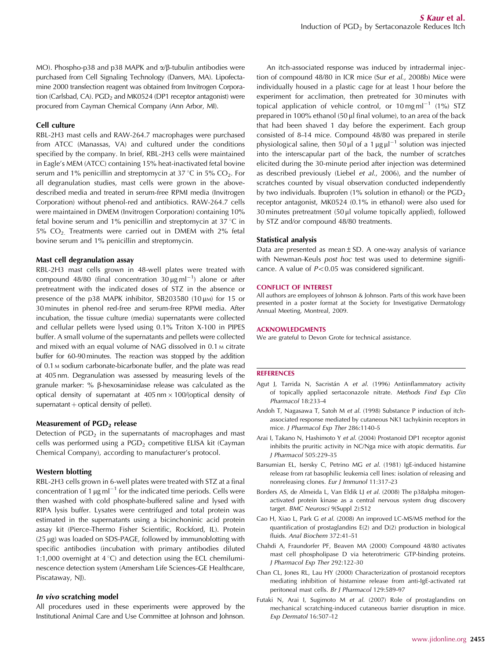MO). Phospho-p38 and p38 MAPK and  $\alpha/\beta$ -tubulin antibodies were purchased from Cell Signaling Technology (Danvers, MA). Lipofectamine 2000 transfection reagent was obtained from Invitrogen Corporation (Carlsbad, CA).  $PGD<sub>2</sub>$  and MK0524 (DP1 receptor antagonist) were procured from Cayman Chemical Company (Ann Arbor, MI).

#### Cell culture

RBL-2H3 mast cells and RAW-264.7 macrophages were purchased from ATCC (Manassas, VA) and cultured under the conditions specified by the company. In brief, RBL-2H3 cells were maintained in Eagle's MEM (ATCC) containing 15% heat-inactivated fetal bovine serum and 1% penicillin and streptomycin at 37 °C in 5%  $CO<sub>2</sub>$ . For all degranulation studies, mast cells were grown in the abovedescribed media and treated in serum-free RPMI media (Invitrogen Corporation) without phenol-red and antibiotics. RAW-264.7 cells were maintained in DMEM (Invitrogen Corporation) containing 10% fetal bovine serum and 1% penicillin and streptomycin at  $37^{\circ}$ C in  $5\%$  CO<sub>2.</sub> Treatments were carried out in DMEM with 2% fetal bovine serum and 1% penicillin and streptomycin.

## Mast cell degranulation assay

RBL-2H3 mast cells grown in 48-well plates were treated with compound 48/80 (final concentration  $30 \mu\text{g m}^{-1}$ ) alone or after pretreatment with the indicated doses of STZ in the absence or presence of the p38 MAPK inhibitor, SB203580 (10 $\mu$ m) for 15 or 30 minutes in phenol red-free and serum-free RPMI media. After incubation, the tissue culture (media) supernatants were collected and cellular pellets were lysed using 0.1% Triton X-100 in PIPES buffer. A small volume of the supernatants and pellets were collected and mixed with an equal volume of NAG dissolved in 0.1 M citrate buffer for 60–90 minutes. The reaction was stopped by the addition of 0.1 M sodium carbonate-bicarbonate buffer, and the plate was read at 405 nm. Degranulation was assessed by measuring levels of the granule marker:  $%$   $\beta$ -hexosaminidase release was calculated as the optical density of supernatant at  $405 \text{ nm} \times 100/(\text{optical density of})$  $supernatural + optical density of pellet).$ 

#### Measurement of  $PGD<sub>2</sub>$  release

Detection of  $PGD<sub>2</sub>$  in the supernatants of macrophages and mast cells was performed using a  $PGD<sub>2</sub>$  competitive ELISA kit (Cayman Chemical Company), according to manufacturer's protocol.

#### Western blotting

RBL-2H3 cells grown in 6-well plates were treated with STZ at a final concentration of 1  $\mu$ g ml<sup>-1</sup> for the indicated time periods. Cells were then washed with cold phosphate-buffered saline and lysed with RIPA lysis buffer. Lysates were centrifuged and total protein was estimated in the supernatants using a bicinchoninic acid protein assay kit (Pierce–Thermo Fisher Scientific, Rockford, IL). Protein  $(25 \,\mu g)$  was loaded on SDS-PAGE, followed by immunoblotting with specific antibodies (incubation with primary antibodies diluted 1:1,000 overnight at  $4^{\circ}$ C) and detection using the ECL chemiluminescence detection system (Amersham Life Sciences–GE Healthcare, Piscataway, NJ).

#### In vivo scratching model

All procedures used in these experiments were approved by the Institutional Animal Care and Use Committee at Johnson and Johnson.

An itch-associated response was induced by intradermal injection of compound 48/80 in ICR mice (Sur *et al*., 2008b) Mice were individually housed in a plastic cage for at least 1 hour before the experiment for acclimation, then pretreated for 30 minutes with topical application of vehicle control, or  $10 \,\mathrm{mg}\,\mathrm{ml}^{-1}$  (1%) STZ prepared in 100% ethanol (50 µl final volume), to an area of the back that had been shaved 1 day before the experiment. Each group consisted of 8–14 mice. Compound 48/80 was prepared in sterile physiological saline, then 50  $\mu$ l of a 1  $\mu$ g  $\mu$ l<sup>-1</sup> solution was injected into the interscapular part of the back, the number of scratches elicited during the 30-minute period after injection was determined as described previously (Liebel *et al*., 2006), and the number of scratches counted by visual observation conducted independently by two individuals. Ibuprofen (1% solution in ethanol) or the  $PGD<sub>2</sub>$ receptor antagonist, MK0524 (0.1% in ethanol) were also used for  $30$  minutes pretreatment  $(50 \mu l)$  volume topically applied), followed by STZ and/or compound 48/80 treatments.

#### Statistical analysis

Data are presented as mean  $\pm$  SD. A one-way analysis of variance with Newman–Keuls *post hoc* test was used to determine significance. A value of  $P < 0.05$  was considered significant.

#### CONFLICT OF INTEREST

All authors are employees of Johnson & Johnson. Parts of this work have been presented in a poster format at the Society for Investigative Dermatology Annual Meeting, Montreal, 2009.

#### ACKNOWLEDGMENTS

We are grateful to Devon Grote for technical assistance.

### **REFERENCES**

- Agut J, Tarrida N, Sacristán A et al. (1996) Antiinflammatory activity of topically applied sertaconazole nitrate. *Methods Find Exp Clin Pharmacol* 18:233–4
- Andoh T, Nagasawa T, Satoh M *et al.* (1998) Substance P induction of itchassociated response mediated by cutaneous NK1 tachykinin receptors in mice. *J Pharmacol Exp Ther* 286:1140–5
- Arai I, Takano N, Hashimoto Y *et al.* (2004) Prostanoid DP1 receptor agonist inhibits the pruritic activity in NC/Nga mice with atopic dermatitis. *Eur J Pharmacol* 505:229–35
- Barsumian EL, Isersky C, Petrino MG *et al.* (1981) IgE-induced histamine release from rat basophilic leukemia cell lines: isolation of releasing and nonreleasing clones. *Eur J Immunol* 11:317–23
- Borders AS, de Almeida L, Van Eldik LJ *et al.* (2008) The p38alpha mitogenactivated protein kinase as a central nervous system drug discovery target. *BMC Neurosci* 9(Suppl 2):S12
- Cao H, Xiao L, Park G *et al.* (2008) An improved LC-MS/MS method for the quantification of prostaglandins E(2) and D(2) production in biological fluids. *Anal Biochem* 372:41–51
- Chahdi A, Fraundorfer PF, Beaven MA (2000) Compound 48/80 activates mast cell phospholipase D via heterotrimeric GTP-binding proteins. *J Pharmacol Exp Ther* 292:122–30
- Chan CL, Jones RL, Lau HY (2000) Characterization of prostanoid receptors mediating inhibition of histamine release from anti-IgE-activated rat peritoneal mast cells. *Br J Pharmacol* 129:589–97
- Futaki N, Arai I, Sugimoto M *et al.* (2007) Role of prostaglandins on mechanical scratching-induced cutaneous barrier disruption in mice. *Exp Dermatol* 16:507–12